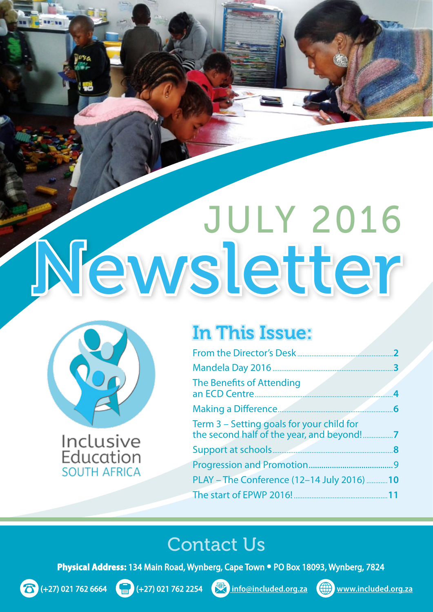# Newsletter JULY 2016



Inclusive Education **SOUTH AFRICA** 

# In This Issue:

| 3<br>The Benefits of Attending<br>4<br><b>Making a Difference.</b><br>6<br>Term 3 – Setting goals for your child for<br>the second half of the year, and beyond!<br>7<br>Support at schools.<br>8<br>9<br>PLAY - The Conference (12-14 July 2016)<br>10<br>The start of EPWP 2016!<br>11 | 2 |
|------------------------------------------------------------------------------------------------------------------------------------------------------------------------------------------------------------------------------------------------------------------------------------------|---|
|                                                                                                                                                                                                                                                                                          |   |
|                                                                                                                                                                                                                                                                                          |   |
|                                                                                                                                                                                                                                                                                          |   |
|                                                                                                                                                                                                                                                                                          |   |
|                                                                                                                                                                                                                                                                                          |   |
|                                                                                                                                                                                                                                                                                          |   |
|                                                                                                                                                                                                                                                                                          |   |
|                                                                                                                                                                                                                                                                                          |   |
|                                                                                                                                                                                                                                                                                          |   |

### Contact Us

**Physical Address:** 134 Main Road, Wynberg, Cape Town • PO Box 18093, Wynberg, 7824





(+27) 021 762 6664 (+27) 021 762 2254 **info@included.org.za www.included.org.za**

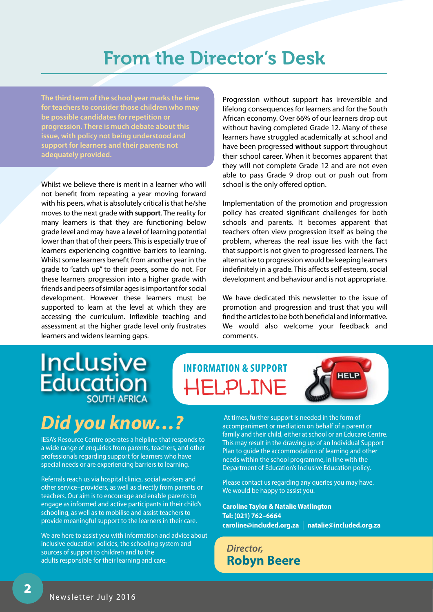### From the Director's Desk

**The third term of the school year marks the time for teachers to consider those children who may be possible candidates for repetition or progression. There is much debate about this issue, with policy not being understood and support for learners and their parents not adequately provided.** 

Whilst we believe there is merit in a learner who will not benefit from repeating a year moving forward with his peers, what is absolutely critical is that he/she moves to the next grade **with support**. The reality for many learners is that they are functioning below grade level and may have a level of learning potential lower than that of their peers. This is especially true of learners experiencing cognitive barriers to learning. Whilst some learners benefit from another year in the grade to "catch up" to their peers, some do not. For these learners progression into a higher grade with friends and peers of similar ages is important for social development. However these learners must be supported to learn at the level at which they are accessing the curriculum. Inflexible teaching and assessment at the higher grade level only frustrates learners and widens learning gaps.

Progression without support has irreversible and lifelong consequences for learners and for the South African economy. Over 66% of our learners drop out without having completed Grade 12. Many of these learners have struggled academically at school and have been progressed **without** support throughout their school career. When it becomes apparent that they will not complete Grade 12 and are not even able to pass Grade 9 drop out or push out from school is the only offered option.

Implementation of the promotion and progression policy has created significant challenges for both schools and parents. It becomes apparent that teachers often view progression itself as being the problem, whereas the real issue lies with the fact that support is not given to progressed learners. The alternative to progression would be keeping learners indefinitely in a grade. This affects self esteem, social development and behaviour and is not appropriate.

We have dedicated this newsletter to the issue of promotion and progression and trust that you will find the articles to be both beneficial and informative. We would also welcome your feedback and comments.

### **Inclusive Education SOUTH AFRICA**

# *Did you know…?*

IESA's Resource Centre operates a helpline that responds to a wide range of enquiries from parents, teachers, and other professionals regarding support for learners who have special needs or are experiencing barriers to learning.

Referrals reach us via hospital clinics, social workers and other service–providers, as well as directly from parents or teachers. Our aim is to encourage and enable parents to engage as informed and active participants in their child's schooling, as well as to mobilise and assist teachers to provide meaningful support to the learners in their care.

We are here to assist you with information and advice about inclusive education policies, the schooling system and sources of support to children and to the adults responsible for their learning and care.

**Information & Support**  Helpline



 At times, further support is needed in the form of accompaniment or mediation on behalf of a parent or family and their child, either at school or an Educare Centre. This may result in the drawing up of an Individual Support Plan to guide the accommodation of learning and other needs within the school programme, in line with the Department of Education's Inclusive Education policy.

Please contact us regarding any queries you may have. We would be happy to assist you.

**Caroline Taylor & Natalie Watlington Tel: (021) 762–6664 caroline@included.org.za** <sup>I</sup> **natalie@included.org.za**

*Director,* **Robyn Beere**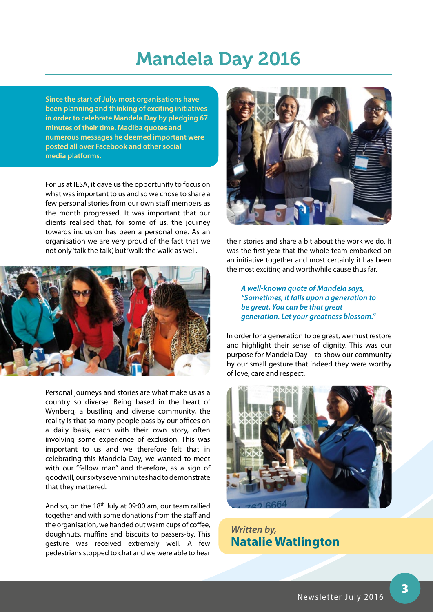### Mandela Day 2016

**Since the start of July, most organisations have been planning and thinking of exciting initiatives in order to celebrate Mandela Day by pledging 67 minutes of their time. Madiba quotes and numerous messages he deemed important were posted all over Facebook and other social media platforms.**

For us at IESA, it gave us the opportunity to focus on what was important to us and so we chose to share a few personal stories from our own staff members as the month progressed. It was important that our clients realised that, for some of us, the journey towards inclusion has been a personal one. As an organisation we are very proud of the fact that we not only 'talk the talk', but 'walk the walk' as well.



Personal journeys and stories are what make us as a country so diverse. Being based in the heart of Wynberg, a bustling and diverse community, the reality is that so many people pass by our offices on a daily basis, each with their own story, often involving some experience of exclusion. This was important to us and we therefore felt that in celebrating this Mandela Day, we wanted to meet with our "fellow man" and therefore, as a sign of goodwill, our sixty seven minutes had to demonstrate that they mattered.

And so, on the 18th July at 09:00 am, our team rallied together and with some donations from the staff and the organisation, we handed out warm cups of coffee, doughnuts, muffins and biscuits to passers-by. This gesture was received extremely well. A few pedestrians stopped to chat and we were able to hear



their stories and share a bit about the work we do. It was the first year that the whole team embarked on an initiative together and most certainly it has been the most exciting and worthwhile cause thus far.

*A well-known quote of Mandela says, "Sometimes, it falls upon a generation to be great. You can be that great generation. Let your greatness blossom."* 

In order for a generation to be great, we must restore and highlight their sense of dignity. This was our purpose for Mandela Day – to show our community by our small gesture that indeed they were worthy of love, care and respect.



*Written by,* **Natalie Watlington**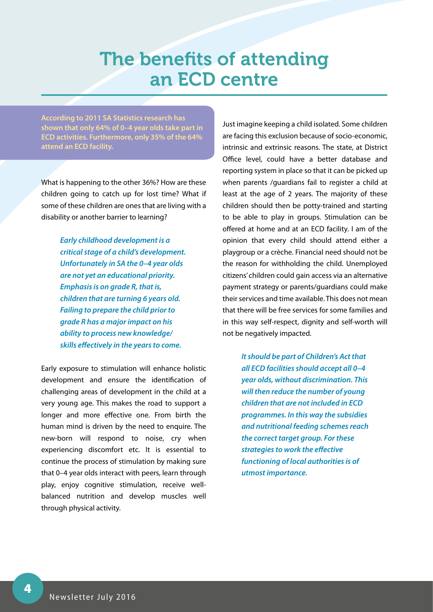### The benefits of attending an ECD centre

**According to 2011 SA Statistics research has shown that only 64% of 0–4 year olds take part in ECD activities. Furthermore, only 35% of the 64% attend an ECD facility.**

What is happening to the other 36%? How are these children going to catch up for lost time? What if some of these children are ones that are living with a disability or another barrier to learning?

> *Early childhood development is a critical stage of a child's development. Unfortunately in SA the 0–4 year olds are not yet an educational priority. Emphasis is on grade R, that is, children that are turning 6 years old. Failing to prepare the child prior to grade R has a major impact on his ability to process new knowledge/ skills effectively in the years to come.*

Early exposure to stimulation will enhance holistic development and ensure the identification of challenging areas of development in the child at a very young age. This makes the road to support a longer and more effective one. From birth the human mind is driven by the need to enquire. The new-born will respond to noise, cry when experiencing discomfort etc. It is essential to continue the process of stimulation by making sure that 0–4 year olds interact with peers, learn through play, enjoy cognitive stimulation, receive wellbalanced nutrition and develop muscles well through physical activity.

Just imagine keeping a child isolated. Some children are facing this exclusion because of socio-economic, intrinsic and extrinsic reasons. The state, at District Office level, could have a better database and reporting system in place so that it can be picked up when parents /guardians fail to register a child at least at the age of 2 years. The majority of these children should then be potty-trained and starting to be able to play in groups. Stimulation can be offered at home and at an ECD facility. I am of the opinion that every child should attend either a playgroup or a crèche. Financial need should not be the reason for withholding the child. Unemployed citizens' children could gain access via an alternative payment strategy or parents/guardians could make their services and time available. This does not mean that there will be free services for some families and in this way self-respect, dignity and self-worth will not be negatively impacted.

> *It should be part of Children's Act that all ECD facilities should accept all 0–4 year olds, without discrimination. This will then reduce the number of young children that are not included in ECD programmes. In this way the subsidies and nutritional feeding schemes reach the correct target group. For these strategies to work the effective functioning of local authorities is of utmost importance.*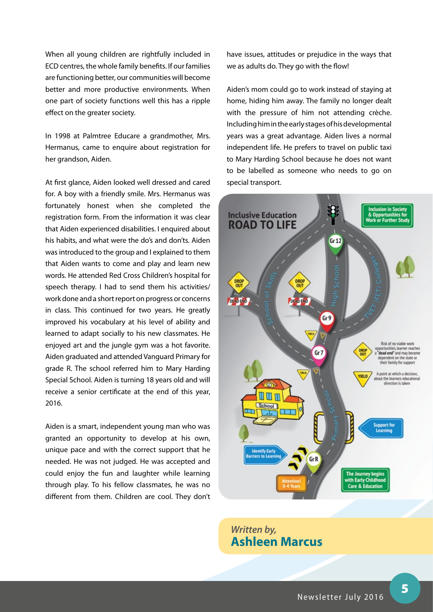When all young children are rightfully included in ECD centres, the whole family benefits. If our families are functioning better, our communities will become better and more productive environments. When one part of society functions well this has a ripple effect on the greater society.

In 1998 at Palmtree Educare a grandmother, Mrs. Hermanus, came to enquire about registration for her grandson, Aiden.

At first glance, Aiden looked well dressed and cared for. A boy with a friendly smile. Mrs. Hermanus was fortunately honest when she completed the registration form. From the information it was clear that Aiden experienced disabilities. I enquired about his habits, and what were the do's and don'ts. Aiden was introduced to the group and I explained to them that Aiden wants to come and play and learn new words. He attended Red Cross Children's hospital for speech therapy. I had to send them his activities/ work done and a short report on progress or concerns in class. This continued for two years. He greatly improved his vocabulary at his level of ability and learned to adapt socially to his new classmates. He enjoyed art and the jungle gym was a hot favorite. Aiden graduated and attended Vanguard Primary for grade R. The school referred him to Mary Harding Special School. Aiden is turning 18 years old and will receive a senior certificate at the end of this year, 2016.

Aiden is a smart, independent young man who was granted an opportunity to develop at his own, unique pace and with the correct support that he needed. He was not judged. He was accepted and could enjoy the fun and laughter while learning through play. To his fellow classmates, he was no different from them. Children are cool. They don't have issues, attitudes or prejudice in the ways that we as adults do. They go with the flow!

Aiden's mom could go to work instead of staying at home, hiding him away. The family no longer dealt with the pressure of him not attending crèche. Including him in the early stages of his developmental years was a great advantage. Aiden lives a normal independent life. He prefers to travel on public taxi to Mary Harding School because he does not want to be labelled as someone who needs to go on special transport.



#### *Written by,* **Ashleen Marcus**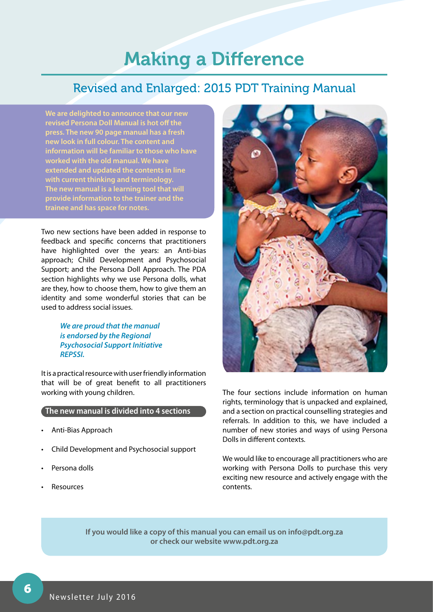## Making a Difference

### Revised and Enlarged: 2015 PDT Training Manual

**We are delighted to announce that our new revised Persona Doll Manual is hot off the press. The new 90 page manual has a fresh new look in full colour. The content and information will be familiar to those who have worked with the old manual. We have extended and updated the contents in line with current thinking and terminology. The new manual is a learning tool that will provide information to the trainer and the trainee and has space for notes.** 

Two new sections have been added in response to feedback and specific concerns that practitioners have highlighted over the years: an Anti-bias approach; Child Development and Psychosocial Support; and the Persona Doll Approach. The PDA section highlights why we use Persona dolls, what are they, how to choose them, how to give them an identity and some wonderful stories that can be used to address social issues.

> *We are proud that the manual is endorsed by the Regional Psychosocial Support Initiative REPSSI.*

It is a practical resource with user friendly information that will be of great benefit to all practitioners working with young children.

#### **The new manual is divided into 4 sections**

- Anti-Bias Approach
- Child Development and Psychosocial support
- Persona dolls
- **Resources**



The four sections include information on human rights, terminology that is unpacked and explained, and a section on practical counselling strategies and referrals. In addition to this, we have included a number of new stories and ways of using Persona Dolls in different contexts.

We would like to encourage all practitioners who are working with Persona Dolls to purchase this very exciting new resource and actively engage with the contents.

**If you would like a copy of this manual you can email us on info@pdt.org.za or check our website www.pdt.org.za**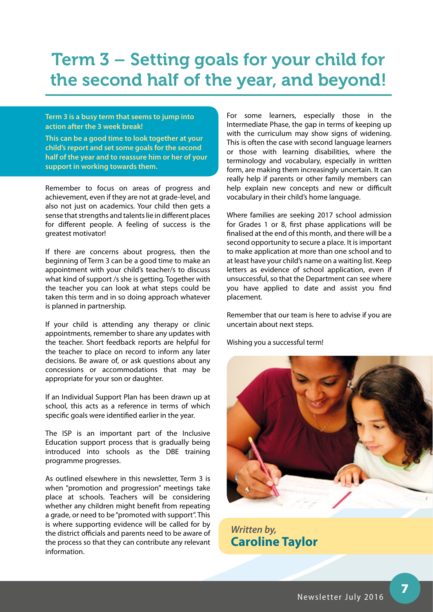### Term 3 – Setting goals for your child for the second half of the year, and beyond!

**Term 3 is a busy term that seems to jump into action after the 3 week break!**

**This can be a good time to look together at your child's report and set some goals for the second half of the year and to reassure him or her of your support in working towards them.**

Remember to focus on areas of progress and achievement, even if they are not at grade-level, and also not just on academics. Your child then gets a sense that strengths and talents lie in different places for different people. A feeling of success is the greatest motivator!

If there are concerns about progress, then the beginning of Term 3 can be a good time to make an appointment with your child's teacher/s to discuss what kind of support /s she is getting. Together with the teacher you can look at what steps could be taken this term and in so doing approach whatever is planned in partnership.

If your child is attending any therapy or clinic appointments, remember to share any updates with the teacher. Short feedback reports are helpful for the teacher to place on record to inform any later decisions. Be aware of, or ask questions about any concessions or accommodations that may be appropriate for your son or daughter.

If an Individual Support Plan has been drawn up at school, this acts as a reference in terms of which specific goals were identified earlier in the year.

The ISP is an important part of the Inclusive Education support process that is gradually being introduced into schools as the DBE training programme progresses.

As outlined elsewhere in this newsletter, Term 3 is when "promotion and progression" meetings take place at schools. Teachers will be considering whether any children might benefit from repeating a grade, or need to be "promoted with support". This is where supporting evidence will be called for by the district officials and parents need to be aware of the process so that they can contribute any relevant information.

For some learners, especially those in the Intermediate Phase, the gap in terms of keeping up with the curriculum may show signs of widening. This is often the case with second language learners or those with learning disabilities, where the terminology and vocabulary, especially in written form, are making them increasingly uncertain. It can really help if parents or other family members can help explain new concepts and new or difficult vocabulary in their child's home language.

Where families are seeking 2017 school admission for Grades 1 or 8, first phase applications will be finalised at the end of this month, and there will be a second opportunity to secure a place. It is important to make application at more than one school and to at least have your child's name on a waiting list. Keep letters as evidence of school application, even if unsuccessful, so that the Department can see where you have applied to date and assist you find placement.

Remember that our team is here to advise if you are uncertain about next steps.

Wishing you a successful term!



*Written by,* **Caroline Taylor**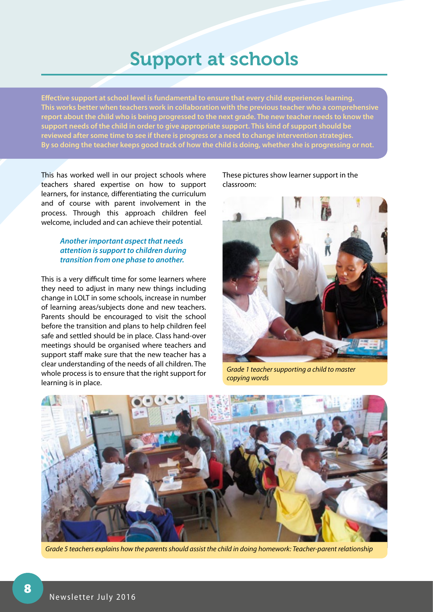### Support at schools

**Effective support at school level is fundamental to ensure that every child experiences learning. This works better when teachers work in collaboration with the previous teacher who a comprehensive report about the child who is being progressed to the next grade. The new teacher needs to know the support needs of the child in order to give appropriate support. This kind of support should be reviewed after some time to see if there is progress or a need to change intervention strategies. By so doing the teacher keeps good track of how the child is doing, whether she is progressing or not.** 

This has worked well in our project schools where teachers shared expertise on how to support learners, for instance, differentiating the curriculum and of course with parent involvement in the process. Through this approach children feel welcome, included and can achieve their potential.

#### *Another important aspect that needs attention is support to children during transition from one phase to another.*

This is a very difficult time for some learners where they need to adjust in many new things including change in LOLT in some schools, increase in number of learning areas/subjects done and new teachers. Parents should be encouraged to visit the school before the transition and plans to help children feel safe and settled should be in place. Class hand-over meetings should be organised where teachers and support staff make sure that the new teacher has a clear understanding of the needs of all children. The whole process is to ensure that the right support for learning is in place.

These pictures show learner support in the classroom:



*Grade 1 teacher supporting a child to master copying words*



*Grade 5 teachers explains how the parents should assist the child in doing homework: Teacher-parent relationship*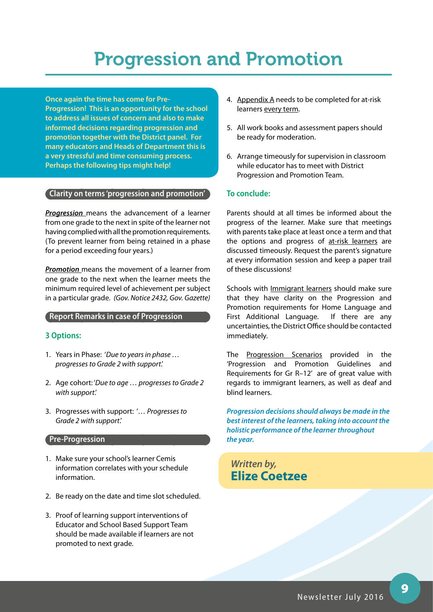## Progression and Promotion

**Once again the time has come for Pre-Progression! This is an opportunity for the school to address all issues of concern and also to make informed decisions regarding progression and promotion together with the District panel. For many educators and Heads of Department this is a very stressful and time consuming process. Perhaps the following tips might help!**

#### **Clarity on terms 'progression and promotion'**

*Progression* means the advancement of a learner from one grade to the next in spite of the learner not having complied with all the promotion requirements. (To prevent learner from being retained in a phase for a period exceeding four years.)

*Promotion* means the movement of a learner from one grade to the next when the learner meets the minimum required level of achievement per subject in a particular grade. *(Gov. Notice 2432, Gov. Gazette)*

#### **Report Remarks in case of Progression**

#### **3 Options:**

- 1. Years in Phase: '*Due to years in phase … progresses to Grade 2 with support*.'
- 2. Age cohort: '*Due to age … progresses to Grade 2 with support*.'
- 3. Progresses with support: '*… Progresses to Grade 2 with support*.'

#### **Pre-Progression**

- 1. Make sure your school's learner Cemis information correlates with your schedule information.
- 2. Be ready on the date and time slot scheduled.
- 3. Proof of learning support interventions of Educator and School Based Support Team should be made available if learners are not promoted to next grade.
- 4. Appendix A needs to be completed for at-risk learners every term.
- 5. All work books and assessment papers should be ready for moderation.
- 6. Arrange timeously for supervision in classroom while educator has to meet with District Progression and Promotion Team.

#### **To conclude:**

Parents should at all times be informed about the progress of the learner. Make sure that meetings with parents take place at least once a term and that the options and progress of at-risk learners are discussed timeously. Request the parent's signature at every information session and keep a paper trail of these discussions!

Schools with *Immigrant learners* should make sure that they have clarity on the Progression and Promotion requirements for Home Language and First Additional Language. If there are any uncertainties, the District Office should be contacted immediately.

The Progression Scenarios provided in the 'Progression and Promotion Guidelines and Requirements for Gr R–12' are of great value with regards to immigrant learners, as well as deaf and blind learners.

*Progression decisions should always be made in the best interest of the learners, taking into account the holistic performance of the learner throughout the year.*

*Written by,* **Elize Coetzee**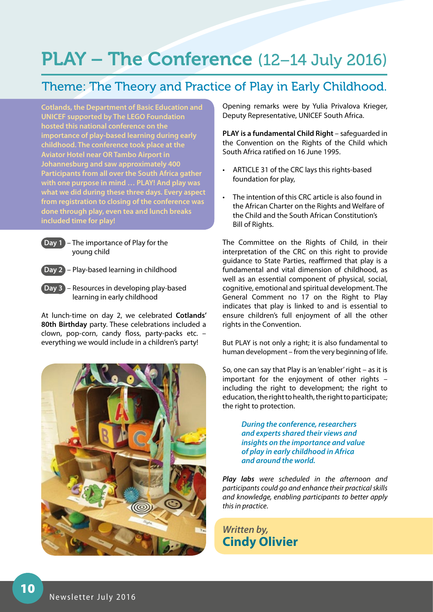# PLAY – The Conference (12-14 July 2016)

### Theme: The Theory and Practice of Play in Early Childhood.

**Cotlands, the Department of Basic Education and UNICEF supported by The LEGO Foundation hosted this national conference on the importance of play-based learning during early childhood. The conference took place at the Aviator Hotel near OR Tambo Airport in Johannesburg and saw approximately 400 Participants from all over the South Africa gather with one purpose in mind … PLAY! And play was what we did during these three days. Every aspect from registration to closing of the conference was done through play, even tea and lunch breaks included time for play!**



 **Day 1** – The importance of Play for the young child

 **Day 2** – Play-based learning in childhood



 **Day 3** – Resources in developing play-based learning in early childhood

At lunch-time on day 2, we celebrated **Cotlands' 80th Birthday** party. These celebrations included a clown, pop-corn, candy floss, party-packs etc. – everything we would include in a children's party!



Opening remarks were by Yulia Privalova Krieger, Deputy Representative, UNICEF South Africa.

**PLAY is a fundamental Child Right** – safeguarded in the Convention on the Rights of the Child which South Africa ratified on 16 June 1995.

- ARTICLE 31 of the CRC lays this rights-based foundation for play,
- • The intention of this CRC article is also found in the African Charter on the Rights and Welfare of the Child and the South African Constitution's Bill of Rights.

The Committee on the Rights of Child, in their interpretation of the CRC on this right to provide guidance to State Parties, reaffirmed that play is a fundamental and vital dimension of childhood, as well as an essential component of physical, social, cognitive, emotional and spiritual development. The General Comment no 17 on the Right to Play indicates that play is linked to and is essential to ensure children's full enjoyment of all the other rights in the Convention.

But PLAY is not only a right; it is also fundamental to human development – from the very beginning of life.

So, one can say that Play is an 'enabler' right – as it is important for the enjoyment of other rights – including the right to development; the right to education, the right to health, the right to participate; the right to protection.

> *During the conference, researchers and experts shared their views and insights on the importance and value of play in early childhood in Africa and around the world.*

*Play labs were scheduled in the afternoon and participants could go and enhance their practical skills and knowledge, enabling participants to better apply this in practice*.

*Written by,* **Cindy Olivier**

10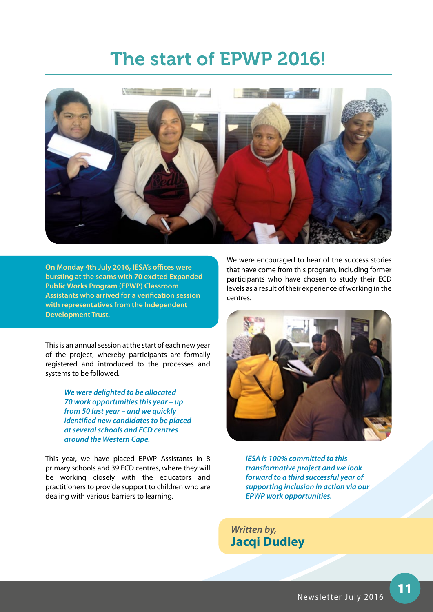### The start of EPWP 2016!



**On Monday 4th July 2016, IESA's offices were bursting at the seams with 70 excited Expanded Public Works Program (EPWP) Classroom Assistants who arrived for a verification session with representatives from the Independent Development Trust.** 

This is an annual session at the start of each new year of the project, whereby participants are formally registered and introduced to the processes and systems to be followed.

> *We were delighted to be allocated 70 work opportunities this year – up from 50 last year – and we quickly identified new candidates to be placed at several schools and ECD centres around the Western Cape.*

This year, we have placed EPWP Assistants in 8 primary schools and 39 ECD centres, where they will be working closely with the educators and practitioners to provide support to children who are dealing with various barriers to learning.

We were encouraged to hear of the success stories that have come from this program, including former participants who have chosen to study their ECD levels as a result of their experience of working in the centres.



*IESA is 100% committed to this transformative project and we look forward to a third successful year of supporting inclusion in action via our EPWP work opportunities.*

*Written by,* **Jacqi Dudley**

11